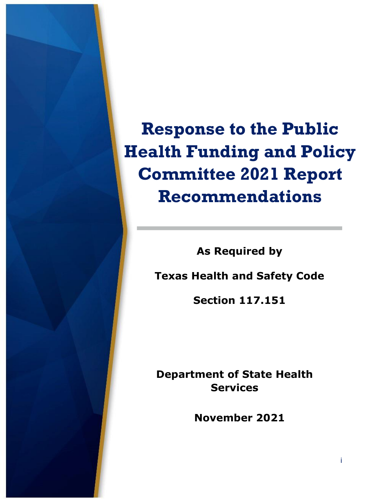**Response to the Public Health Funding and Policy Committee 2021 Report Recommendations**

**As Required by**

**Texas Health and Safety Code** 

**Section 117.151**

**Department of State Health Services**

**November 2021**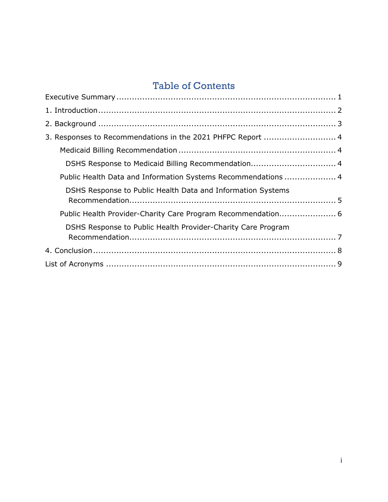### Table of Contents

| 3. Responses to Recommendations in the 2021 PHFPC Report  4   |  |  |
|---------------------------------------------------------------|--|--|
|                                                               |  |  |
|                                                               |  |  |
| Public Health Data and Information Systems Recommendations  4 |  |  |
| DSHS Response to Public Health Data and Information Systems   |  |  |
| Public Health Provider-Charity Care Program Recommendation 6  |  |  |
| DSHS Response to Public Health Provider-Charity Care Program  |  |  |
|                                                               |  |  |
|                                                               |  |  |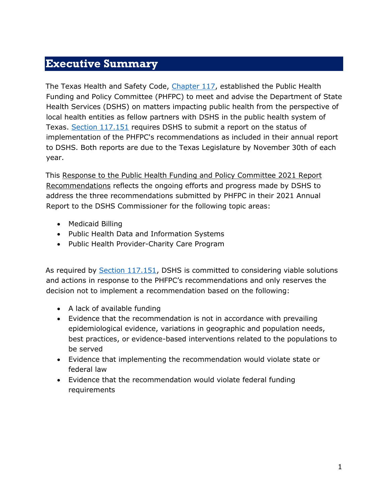#### <span id="page-2-0"></span>**Executive Summary**

The Texas Health and Safety Code, [Chapter 117,](https://statutes.capitol.texas.gov/Docs/HS/pdf/HS.117.pdf) established the Public Health Funding and Policy Committee (PHFPC) to meet and advise the Department of State Health Services (DSHS) on matters impacting public health from the perspective of local health entities as fellow partners with DSHS in the public health system of Texas. [Section 117.151](https://statutes.capitol.texas.gov/Docs/HS/htm/HS.117.htm) requires DSHS to submit a report on the status of implementation of the PHFPC's recommendations as included in their annual report to DSHS. Both reports are due to the Texas Legislature by November 30th of each year.

This Response to the Public Health Funding and Policy Committee 2021 Report Recommendations reflects the ongoing efforts and progress made by DSHS to address the three recommendations submitted by PHFPC in their 2021 Annual Report to the DSHS Commissioner for the following topic areas:

- Medicaid Billing
- Public Health Data and Information Systems
- Public Health Provider-Charity Care Program

As required by [Section 117.151,](https://statutes.capitol.texas.gov/Docs/HS/htm/HS.117.htm) DSHS is committed to considering viable solutions and actions in response to the PHFPC's recommendations and only reserves the decision not to implement a recommendation based on the following:

- A lack of available funding
- Evidence that the recommendation is not in accordance with prevailing epidemiological evidence, variations in geographic and population needs, best practices, or evidence-based interventions related to the populations to be served
- Evidence that implementing the recommendation would violate state or federal law
- Evidence that the recommendation would violate federal funding requirements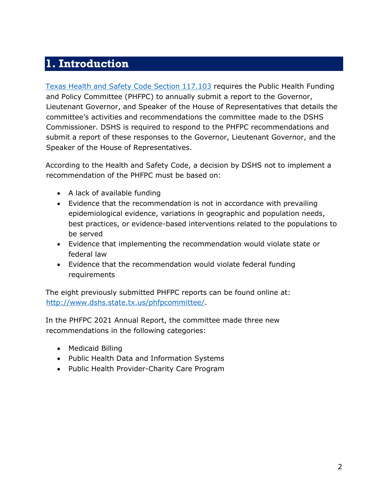## <span id="page-3-0"></span>**1. Introduction**

[Texas Health and Safety Code Section 117.103](https://statutes.capitol.texas.gov/Docs/HS/htm/HS.117.htm) requires the Public Health Funding and Policy Committee (PHFPC) to annually submit a report to the Governor, Lieutenant Governor, and Speaker of the House of Representatives that details the committee's activities and recommendations the committee made to the DSHS Commissioner. DSHS is required to respond to the PHFPC recommendations and submit a report of these responses to the Governor, Lieutenant Governor, and the Speaker of the House of Representatives.

According to the Health and Safety Code, a decision by DSHS not to implement a recommendation of the PHFPC must be based on:

- A lack of available funding
- Evidence that the recommendation is not in accordance with prevailing epidemiological evidence, variations in geographic and population needs, best practices, or evidence-based interventions related to the populations to be served
- Evidence that implementing the recommendation would violate state or federal law
- Evidence that the recommendation would violate federal funding requirements

The eight previously submitted PHFPC reports can be found online at: [http://www.dshs.state.tx.us/phfpcommittee/.](http://www.dshs.state.tx.us/phfpcommittee/)

In the PHFPC 2021 Annual Report, the committee made three new recommendations in the following categories:

- Medicaid Billing
- Public Health Data and Information Systems
- Public Health Provider-Charity Care Program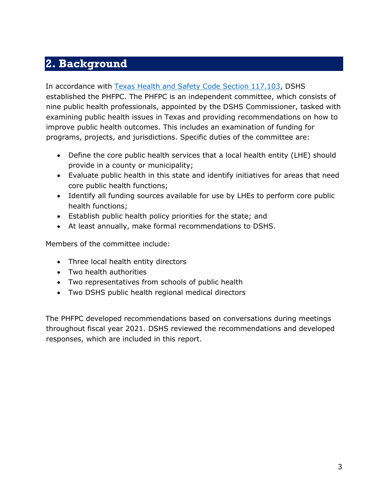## <span id="page-4-0"></span>**2. Background**

In accordance with [Texas Health and Safety Code Section 117.103,](https://statutes.capitol.texas.gov/Docs/HS/htm/HS.117.htm) DSHS established the PHFPC. The PHFPC is an independent committee, which consists of nine public health professionals, appointed by the DSHS Commissioner, tasked with examining public health issues in Texas and providing recommendations on how to improve public health outcomes. This includes an examination of funding for programs, projects, and jurisdictions. Specific duties of the committee are:

- Define the core public health services that a local health entity (LHE) should provide in a county or municipality;
- Evaluate public health in this state and identify initiatives for areas that need core public health functions;
- Identify all funding sources available for use by LHEs to perform core public health functions;
- Establish public health policy priorities for the state; and
- At least annually, make formal recommendations to DSHS.

Members of the committee include:

- Three local health entity directors
- Two health authorities
- Two representatives from schools of public health
- Two DSHS public health regional medical directors

The PHFPC developed recommendations based on conversations during meetings throughout fiscal year 2021. DSHS reviewed the recommendations and developed responses, which are included in this report.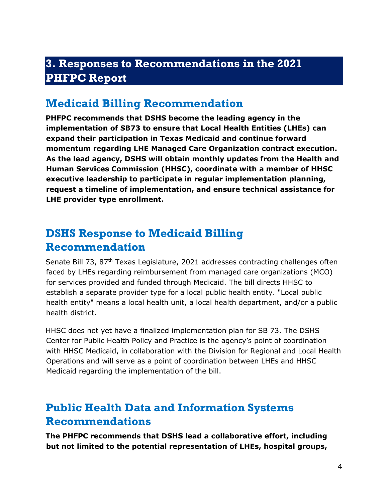### <span id="page-5-0"></span>**3. Responses to Recommendations in the 2021 PHFPC Report**

#### <span id="page-5-1"></span>**Medicaid Billing Recommendation**

**PHFPC recommends that DSHS become the leading agency in the implementation of SB73 to ensure that Local Health Entities (LHEs) can expand their participation in Texas Medicaid and continue forward momentum regarding LHE Managed Care Organization contract execution. As the lead agency, DSHS will obtain monthly updates from the Health and Human Services Commission (HHSC), coordinate with a member of HHSC executive leadership to participate in regular implementation planning, request a timeline of implementation, and ensure technical assistance for LHE provider type enrollment.**

### <span id="page-5-2"></span>**DSHS Response to Medicaid Billing Recommendation**

Senate Bill 73, 87<sup>th</sup> Texas Legislature, 2021 addresses contracting challenges often faced by LHEs regarding reimbursement from managed care organizations (MCO) for services provided and funded through Medicaid. The bill directs HHSC to establish a separate provider type for a local public health entity. "Local public health entity" means a local health unit, a local health department, and/or a public health district.

HHSC does not yet have a finalized implementation plan for SB 73. The DSHS Center for Public Health Policy and Practice is the agency's point of coordination with HHSC Medicaid, in collaboration with the Division for Regional and Local Health Operations and will serve as a point of coordination between LHEs and HHSC Medicaid regarding the implementation of the bill.

## <span id="page-5-3"></span>**Public Health Data and Information Systems Recommendations**

**The PHFPC recommends that DSHS lead a collaborative effort, including but not limited to the potential representation of LHEs, hospital groups,**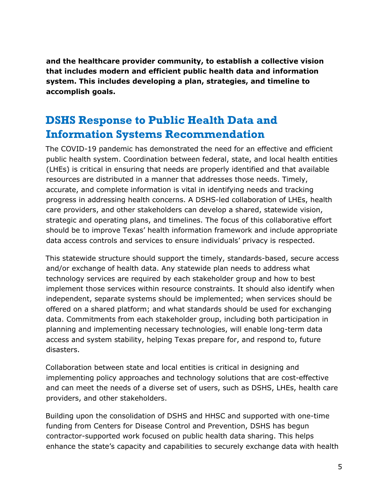**and the healthcare provider community, to establish a collective vision that includes modern and efficient public health data and information system. This includes developing a plan, strategies, and timeline to accomplish goals.**

#### <span id="page-6-0"></span>**DSHS Response to Public Health Data and Information Systems Recommendation**

The COVID-19 pandemic has demonstrated the need for an effective and efficient public health system. Coordination between federal, state, and local health entities (LHEs) is critical in ensuring that needs are properly identified and that available resources are distributed in a manner that addresses those needs. Timely, accurate, and complete information is vital in identifying needs and tracking progress in addressing health concerns. A DSHS-led collaboration of LHEs, health care providers, and other stakeholders can develop a shared, statewide vision, strategic and operating plans, and timelines. The focus of this collaborative effort should be to improve Texas' health information framework and include appropriate data access controls and services to ensure individuals' privacy is respected.

This statewide structure should support the timely, standards-based, secure access and/or exchange of health data. Any statewide plan needs to address what technology services are required by each stakeholder group and how to best implement those services within resource constraints. It should also identify when independent, separate systems should be implemented; when services should be offered on a shared platform; and what standards should be used for exchanging data. Commitments from each stakeholder group, including both participation in planning and implementing necessary technologies, will enable long-term data access and system stability, helping Texas prepare for, and respond to, future disasters.

Collaboration between state and local entities is critical in designing and implementing policy approaches and technology solutions that are cost-effective and can meet the needs of a diverse set of users, such as DSHS, LHEs, health care providers, and other stakeholders.

Building upon the consolidation of DSHS and HHSC and supported with one-time funding from Centers for Disease Control and Prevention, DSHS has begun contractor-supported work focused on public health data sharing. This helps enhance the state's capacity and capabilities to securely exchange data with health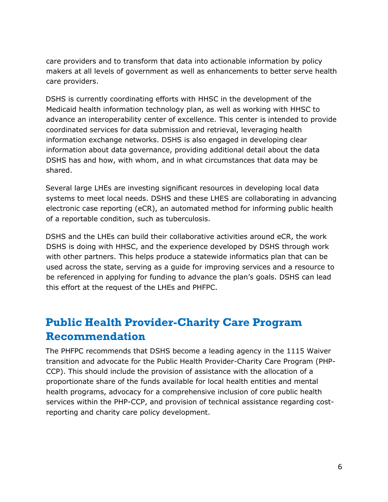care providers and to transform that data into actionable information by policy makers at all levels of government as well as enhancements to better serve health care providers.

DSHS is currently coordinating efforts with HHSC in the development of the Medicaid health information technology plan, as well as working with HHSC to advance an interoperability center of excellence. This center is intended to provide coordinated services for data submission and retrieval, leveraging health information exchange networks. DSHS is also engaged in developing clear information about data governance, providing additional detail about the data DSHS has and how, with whom, and in what circumstances that data may be shared.

Several large LHEs are investing significant resources in developing local data systems to meet local needs. DSHS and these LHES are collaborating in advancing electronic case reporting (eCR), an automated method for informing public health of a reportable condition, such as tuberculosis.

DSHS and the LHEs can build their collaborative activities around eCR, the work DSHS is doing with HHSC, and the experience developed by DSHS through work with other partners. This helps produce a statewide informatics plan that can be used across the state, serving as a guide for improving services and a resource to be referenced in applying for funding to advance the plan's goals. DSHS can lead this effort at the request of the LHEs and PHFPC.

## <span id="page-7-0"></span>**Public Health Provider-Charity Care Program Recommendation**

The PHFPC recommends that DSHS become a leading agency in the 1115 Waiver transition and advocate for the Public Health Provider-Charity Care Program (PHP-CCP). This should include the provision of assistance with the allocation of a proportionate share of the funds available for local health entities and mental health programs, advocacy for a comprehensive inclusion of core public health services within the PHP-CCP, and provision of technical assistance regarding costreporting and charity care policy development.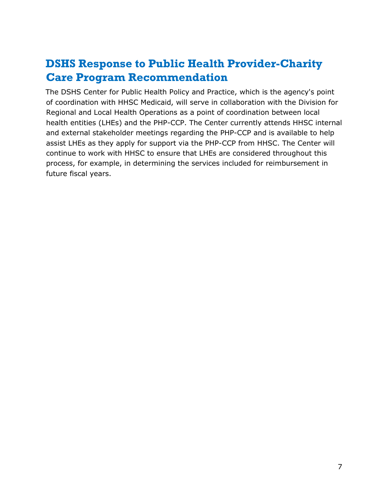## <span id="page-8-0"></span>**DSHS Response to Public Health Provider-Charity Care Program Recommendation**

The DSHS Center for Public Health Policy and Practice, which is the agency's point of coordination with HHSC Medicaid, will serve in collaboration with the Division for Regional and Local Health Operations as a point of coordination between local health entities (LHEs) and the PHP-CCP. The Center currently attends HHSC internal and external stakeholder meetings regarding the PHP-CCP and is available to help assist LHEs as they apply for support via the PHP-CCP from HHSC. The Center will continue to work with HHSC to ensure that LHEs are considered throughout this process, for example, in determining the services included for reimbursement in future fiscal years.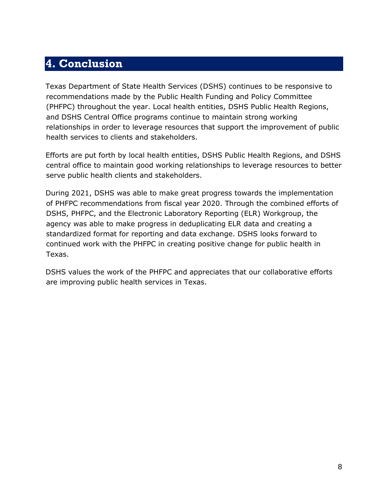### <span id="page-9-0"></span>**4. Conclusion**

Texas Department of State Health Services (DSHS) continues to be responsive to recommendations made by the Public Health Funding and Policy Committee (PHFPC) throughout the year. Local health entities, DSHS Public Health Regions, and DSHS Central Office programs continue to maintain strong working relationships in order to leverage resources that support the improvement of public health services to clients and stakeholders.

Efforts are put forth by local health entities, DSHS Public Health Regions, and DSHS central office to maintain good working relationships to leverage resources to better serve public health clients and stakeholders.

During 2021, DSHS was able to make great progress towards the implementation of PHFPC recommendations from fiscal year 2020. Through the combined efforts of DSHS, PHFPC, and the Electronic Laboratory Reporting (ELR) Workgroup, the agency was able to make progress in deduplicating ELR data and creating a standardized format for reporting and data exchange. DSHS looks forward to continued work with the PHFPC in creating positive change for public health in Texas.

DSHS values the work of the PHFPC and appreciates that our collaborative efforts are improving public health services in Texas.